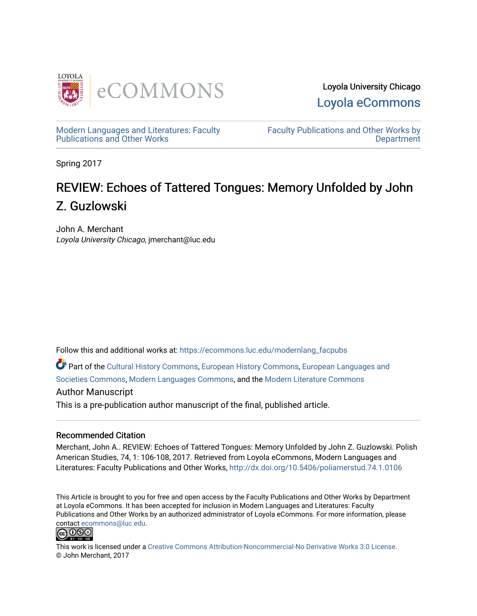

Loyola University Chicago [Loyola eCommons](https://ecommons.luc.edu/) 

[Modern Languages and Literatures: Faculty](https://ecommons.luc.edu/modernlang_facpubs)  [Publications and Other Works](https://ecommons.luc.edu/modernlang_facpubs) 

[Faculty Publications and Other Works by](https://ecommons.luc.edu/faculty)  **Department** 

Spring 2017

## REVIEW: Echoes of Tattered Tongues: Memory Unfolded by John Z. Guzlowski

John A. Merchant Loyola University Chicago, jmerchant@luc.edu

Follow this and additional works at: [https://ecommons.luc.edu/modernlang\\_facpubs](https://ecommons.luc.edu/modernlang_facpubs?utm_source=ecommons.luc.edu%2Fmodernlang_facpubs%2F64&utm_medium=PDF&utm_campaign=PDFCoverPages)

Part of the [Cultural History Commons](http://network.bepress.com/hgg/discipline/496?utm_source=ecommons.luc.edu%2Fmodernlang_facpubs%2F64&utm_medium=PDF&utm_campaign=PDFCoverPages), [European History Commons,](http://network.bepress.com/hgg/discipline/492?utm_source=ecommons.luc.edu%2Fmodernlang_facpubs%2F64&utm_medium=PDF&utm_campaign=PDFCoverPages) [European Languages and](http://network.bepress.com/hgg/discipline/482?utm_source=ecommons.luc.edu%2Fmodernlang_facpubs%2F64&utm_medium=PDF&utm_campaign=PDFCoverPages)  [Societies Commons](http://network.bepress.com/hgg/discipline/482?utm_source=ecommons.luc.edu%2Fmodernlang_facpubs%2F64&utm_medium=PDF&utm_campaign=PDFCoverPages), [Modern Languages Commons](http://network.bepress.com/hgg/discipline/1130?utm_source=ecommons.luc.edu%2Fmodernlang_facpubs%2F64&utm_medium=PDF&utm_campaign=PDFCoverPages), and the [Modern Literature Commons](http://network.bepress.com/hgg/discipline/1050?utm_source=ecommons.luc.edu%2Fmodernlang_facpubs%2F64&utm_medium=PDF&utm_campaign=PDFCoverPages) 

## Author Manuscript

This is a pre-publication author manuscript of the final, published article.

## Recommended Citation

Merchant, John A.. REVIEW: Echoes of Tattered Tongues: Memory Unfolded by John Z. Guzlowski. Polish American Studies, 74, 1: 106-108, 2017. Retrieved from Loyola eCommons, Modern Languages and Literatures: Faculty Publications and Other Works, <http://dx.doi.org/10.5406/poliamerstud.74.1.0106>

This Article is brought to you for free and open access by the Faculty Publications and Other Works by Department at Loyola eCommons. It has been accepted for inclusion in Modern Languages and Literatures: Faculty Publications and Other Works by an authorized administrator of Loyola eCommons. For more information, please contact [ecommons@luc.edu.](mailto:ecommons@luc.edu)



This work is licensed under a [Creative Commons Attribution-Noncommercial-No Derivative Works 3.0 License.](https://creativecommons.org/licenses/by-nc-nd/3.0/) © John Merchant, 2017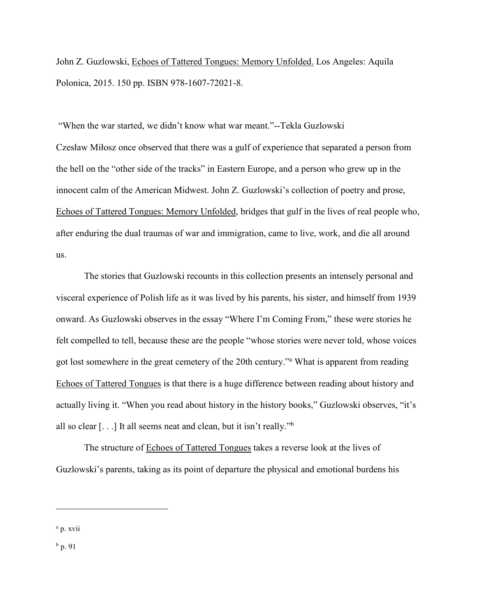John Z. Guzlowski, Echoes of Tattered Tongues: Memory Unfolded. Los Angeles: Aquila Polonica, 2015. 150 pp. ISBN 978-1607-72021-8.

"When the war started, we didn't know what war meant."--Tekla Guzlowski Czesław Miłosz once observed that there was a gulf of experience that separated a person from the hell on the "other side of the tracks" in Eastern Europe, and a person who grew up in the innocent calm of the American Midwest. John Z. Guzlowski's collection of poetry and prose, Echoes of Tattered Tongues: Memory Unfolded, bridges that gulf in the lives of real people who, after enduring the dual traumas of war and immigration, came to live, work, and die all around us.

The stories that Guzlowski recounts in this collection presents an intensely personal and visceral experience of Polish life as it was lived by his parents, his sister, and himself from 1939 onward. As Guzlowski observes in the essay "Where I'm Coming From," these were stories he felt compelled to tell, because these are the people "whose stories were never told, whose voices got lost somewhere in the great cemetery of the 20th century."<sup>a</sup> What is apparent from reading Echoes of Tattered Tongues is that there is a huge difference between reading about history and actually living it. "When you read about history in the history books," Guzlowski observes, "it's all so clear  $[...]$  It all seems neat and clean, but it isn't really."<sup>b</sup>

The structure of Echoes of Tattered Tongues takes a reverse look at the lives of Guzlowski's parents, taking as its point of departure the physical and emotional burdens his

 $\overline{a}$ 

 $<sup>b</sup>$  p. 91</sup>

<sup>&</sup>lt;sup>a</sup> p. xvii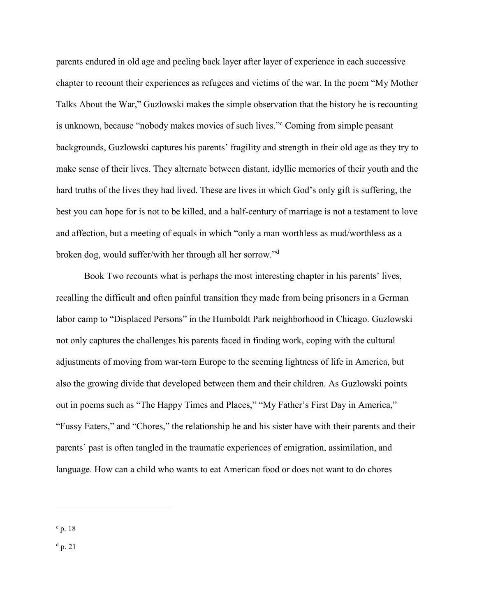parents endured in old age and peeling back layer after layer of experience in each successive chapter to recount their experiences as refugees and victims of the war. In the poem "My Mother Talks About the War," Guzlowski makes the simple observation that the history he is recounting is unknown, because "nobody makes movies of such lives."<sup>c</sup> Coming from simple peasant backgrounds, Guzlowski captures his parents' fragility and strength in their old age as they try to make sense of their lives. They alternate between distant, idyllic memories of their youth and the hard truths of the lives they had lived. These are lives in which God's only gift is suffering, the best you can hope for is not to be killed, and a half-century of marriage is not a testament to love and affection, but a meeting of equals in which "only a man worthless as mud/worthless as a broken dog, would suffer/with her through all her sorrow."<sup>d</sup>

Book Two recounts what is perhaps the most interesting chapter in his parents' lives, recalling the difficult and often painful transition they made from being prisoners in a German labor camp to "Displaced Persons" in the Humboldt Park neighborhood in Chicago. Guzlowski not only captures the challenges his parents faced in finding work, coping with the cultural adjustments of moving from war-torn Europe to the seeming lightness of life in America, but also the growing divide that developed between them and their children. As Guzlowski points out in poems such as "The Happy Times and Places," "My Father's First Day in America," "Fussy Eaters," and "Chores," the relationship he and his sister have with their parents and their parents' past is often tangled in the traumatic experiences of emigration, assimilation, and language. How can a child who wants to eat American food or does not want to do chores

 $\overline{a}$ 

 $d$  p. 21

 $c$  p. 18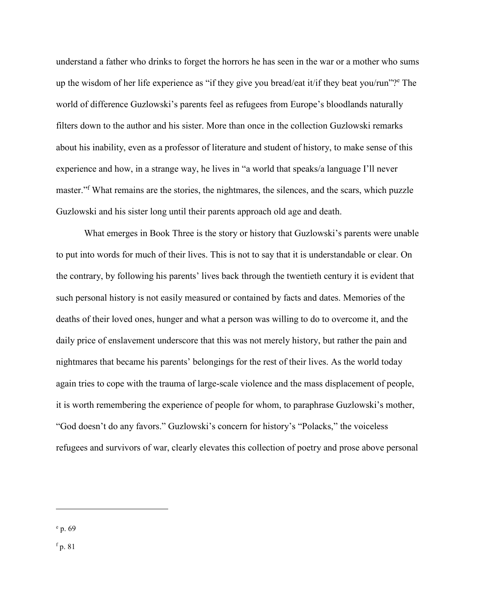understand a father who drinks to forget the horrors he has seen in the war or a mother who sums up the wisdom of her life experience as "if they give you bread/eat it/if they beat you/run"?<sup>e</sup> The world of difference Guzlowski's parents feel as refugees from Europe's bloodlands naturally filters down to the author and his sister. More than once in the collection Guzlowski remarks about his inability, even as a professor of literature and student of history, to make sense of this experience and how, in a strange way, he lives in "a world that speaks/a language I'll never master."<sup>f</sup> What remains are the stories, the nightmares, the silences, and the scars, which puzzle Guzlowski and his sister long until their parents approach old age and death.

What emerges in Book Three is the story or history that Guzlowski's parents were unable to put into words for much of their lives. This is not to say that it is understandable or clear. On the contrary, by following his parents' lives back through the twentieth century it is evident that such personal history is not easily measured or contained by facts and dates. Memories of the deaths of their loved ones, hunger and what a person was willing to do to overcome it, and the daily price of enslavement underscore that this was not merely history, but rather the pain and nightmares that became his parents' belongings for the rest of their lives. As the world today again tries to cope with the trauma of large-scale violence and the mass displacement of people, it is worth remembering the experience of people for whom, to paraphrase Guzlowski's mother, "God doesn't do any favors." Guzlowski's concern for history's "Polacks," the voiceless refugees and survivors of war, clearly elevates this collection of poetry and prose above personal

 $\overline{a}$ 

<sup>f</sup> p. 81

<sup>e</sup> p. 69